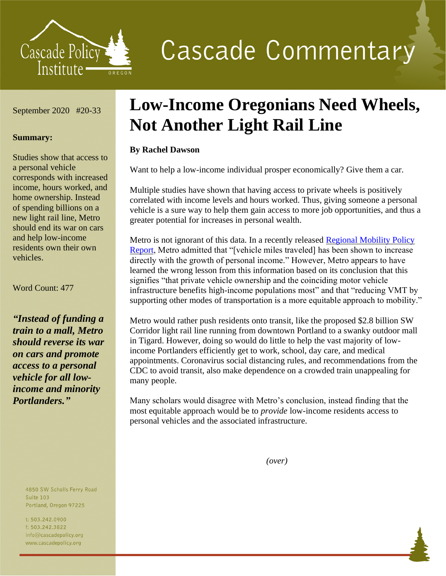

# **Cascade Commentary**

September 2020 #20-33

#### **Summary:**

Studies show that access to a personal vehicle corresponds with increased income, hours worked, and home ownership. Instead of spending billions on a new light rail line, Metro should end its war on cars and help low-income residents own their own vehicles.

#### Word Count: 477

*"Instead of funding a train to a mall, Metro should reverse its war on cars and promote access to a personal vehicle for all lowincome and minority Portlanders."*

> 4850 SW Scholls Ferry Road **Suite 103** Portland, Oregon 97225

t: 503.242.0900 f: 503.242.3822 info@cascadepolicy.org www.cascadepolicy.org

## **Low-Income Oregonians Need Wheels, Not Another Light Rail Line**

### **By Rachel Dawson**

Want to help a low-income individual prosper economically? Give them a car.

Multiple studies have shown that having access to private wheels is positively correlated with income levels and hours worked. Thus, giving someone a personal vehicle is a sure way to help them gain access to more job opportunities, and thus a greater potential for increases in personal wealth.

Metro is not ignorant of this data. In a recently released [Regional Mobility Policy](https://www.oregonmetro.gov/sites/default/files/2020/06/10/Regional-Mobility-Policy-background-report-20200608.pdf)  [Report,](https://www.oregonmetro.gov/sites/default/files/2020/06/10/Regional-Mobility-Policy-background-report-20200608.pdf) Metro admitted that "[vehicle miles traveled] has been shown to increase directly with the growth of personal income." However, Metro appears to have learned the wrong lesson from this information based on its conclusion that this signifies "that private vehicle ownership and the coinciding motor vehicle infrastructure benefits high-income populations most" and that "reducing VMT by supporting other modes of transportation is a more equitable approach to mobility."

Metro would rather push residents onto transit, like the proposed \$2.8 billion SW Corridor light rail line running from downtown Portland to a swanky outdoor mall in Tigard. However, doing so would do little to help the vast majority of lowincome Portlanders efficiently get to work, school, day care, and medical appointments. Coronavirus social distancing rules, and recommendations from the CDC to avoid transit, also make dependence on a crowded train unappealing for many people.

Many scholars would disagree with Metro's conclusion, instead finding that the most equitable approach would be to *provide* low-income residents access to personal vehicles and the associated infrastructure.

*(over)*